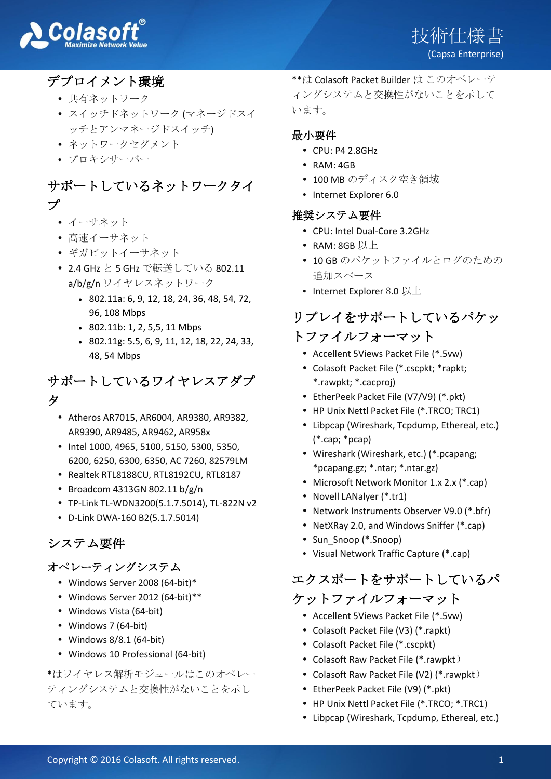

# デプロイメント環境

- 共有ネットワーク
- スイッチドネットワーク (マネージドスイ ッチとアンマネージドスイッチ)
- ネットワークセグメント
- プロキシサーバー

## サポートしているネットワークタイ プ

- イーサネット
- 高速イーサネット
- ギガビットイーサネット
- 2.4 GHz と 5 GHz で転送している 802.11 a/b/g/n ワイヤレスネットワーク
	- 802.11a: 6, 9, 12, 18, 24, 36, 48, 54, 72, 96, 108 Mbps
	- 802.11b: 1, 2, 5,5, 11 Mbps
	- 802.11g: 5.5, 6, 9, 11, 12, 18, 22, 24, 33, 48, 54 Mbps

## サポートしているワイヤレスアダプ タ

- Atheros AR7015, AR6004, AR9380, AR9382, AR9390, AR9485, AR9462, AR958x
- Intel 1000, 4965, 5100, 5150, 5300, 5350, 6200, 6250, 6300, 6350, AC 7260, 82579LM
- Realtek RTL8188CU, RTL8192CU, RTL8187
- $\cdot$  Broadcom 4313GN 802.11 b/g/n
- TP-Link TL-WDN3200(5.1.7.5014), TL-822N v2
- D-Link DWA-160 B2(5.1.7.5014)

## システム要件

#### オペレーティングシステム

- Windows Server 2008 (64-bit)\*
- Windows Server 2012 (64-bit)\*\*
- Windows Vista (64-bit)
- Windows 7 (64-bit)
- Windows 8/8.1 (64-bit)
- Windows 10 Professional (64-bit)

\*はワイヤレス解析モジュールはこのオペレー ティングシステムと交換性がないことを示し ています。

\*\*は Colasoft Packet Builder は このオペレーテ ィングシステムと交換性がないことを示して います。

#### 最小要件

- CPU: P4 2.8GHz
- RAM: 4GB
- 100 MB のディスク空き領域
- Internet Explorer 6.0

#### 推奨システム要件

- CPU: Intel Dual-Core 3.2GHz
- RAM: 8GB 以上
- 10 GB のパケットファイルとログのための 追加スペース
- Internet Explorer 8.0 以上

## リプレイをサポートしているパケッ トファイルフォーマット

- Accellent 5Views Packet File (\*.5vw)
- Colasoft Packet File (\*.cscpkt; \*rapkt; \*.rawpkt; \*.cacproj)
- EtherPeek Packet File (V7/V9) (\*.pkt)
- HP Unix Nettl Packet File (\*.TRCO; TRC1)
- Libpcap (Wireshark, Tcpdump, Ethereal, etc.) (\*.cap; \*pcap)
- Wireshark (Wireshark, etc.) (\*.pcapang; \*pcapang.gz; \*.ntar; \*.ntar.gz)
- Microsoft Network Monitor 1.x 2.x (\*.cap)
- Novell LANalyer (\*.tr1)
- Network Instruments Observer V9.0 (\*.bfr)
- NetXRay 2.0, and Windows Sniffer (\*.cap)
- Sun\_Snoop (\*.Snoop)
- Visual Network Traffic Capture (\*.cap)

# エクスポートをサポートしているパ

## ケットファイルフォーマット

- Accellent 5Views Packet File (\*.5vw)
- Colasoft Packet File (V3) (\*.rapkt)
- Colasoft Packet File (\*.cscpkt)
- Colasoft Raw Packet File (\*.rawpkt)
- Colasoft Raw Packet File (V2) (\*.rawpkt)
- EtherPeek Packet File (V9) (\*.pkt)
- HP Unix Nettl Packet File (\*.TRCO; \*.TRC1)
- Libpcap (Wireshark, Tcpdump, Ethereal, etc.)